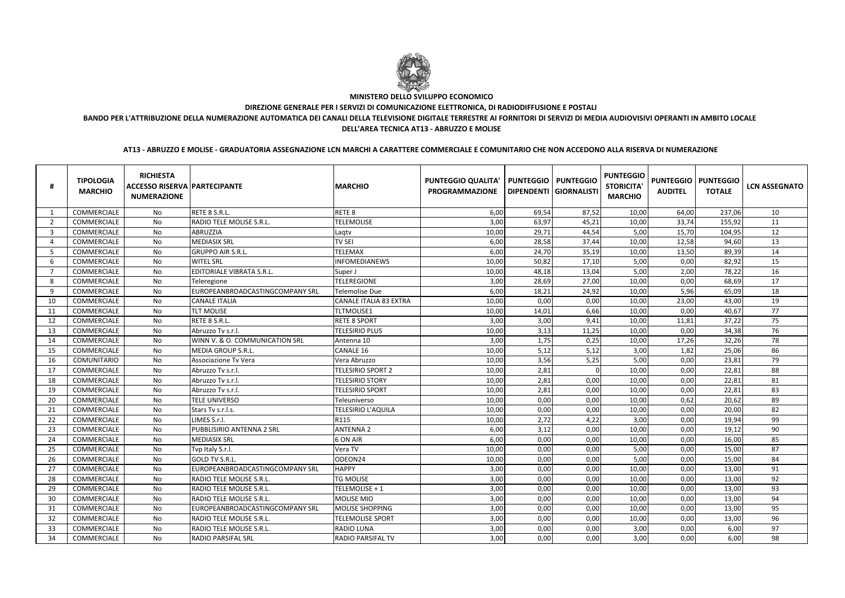|                | <b>TIPOLOGIA</b><br><b>MARCHIO</b> | <b>RICHIESTA</b><br><b>ACCESSO RISERVA PARTECIPANTE</b><br><b>NUMERAZIONE</b> |                                  | <b>MARCHIO</b>                | <b>PUNTEGGIO QUALITA'</b><br><b>PROGRAMMAZIONE</b> | <b>PUNTEGGIO</b> | <b>PUNTEGGIO</b><br>DIPENDENTI GIORNALISTI | <b>PUNTEGGIO</b><br><b>STORICITA'</b><br><b>MARCHIO</b> | <b>PUNTEGGIO</b><br><b>AUDITEL</b> | <b>PUNTEGGIO</b><br><b>TOTALE</b> | <b>LCN ASSEGNATO</b> |
|----------------|------------------------------------|-------------------------------------------------------------------------------|----------------------------------|-------------------------------|----------------------------------------------------|------------------|--------------------------------------------|---------------------------------------------------------|------------------------------------|-----------------------------------|----------------------|
|                | COMMERCIALE                        | No                                                                            | RETE 8 S.R.L.                    | RETE <sub>8</sub>             | 6,00                                               | 69,54            | 87,52                                      | 10,00                                                   | 64,00                              | 237,06                            | 10                   |
| $\overline{2}$ | COMMERCIALE                        | No                                                                            | RADIO TELE MOLISE S.R.L          | <b>TELEMOLISE</b>             | 3,00                                               | 63,97            | 45,21                                      | 10,00                                                   | 33,74                              | 155,92                            | 11                   |
| -3             | COMMERCIALE                        | No                                                                            | ABRUZZIA                         | Laqtv                         | 10,00                                              | 29,71            | 44,54                                      | 5,00                                                    | 15,70                              | 104,95                            | 12                   |
| $\overline{4}$ | COMMERCIALE                        | No                                                                            | <b>MEDIASIX SRL</b>              | <b>TV SEI</b>                 | 6,00                                               | 28,58            | 37,44                                      | 10,00                                                   | 12,58                              | 94,60                             | 13                   |
| -5             | COMMERCIALE                        | No                                                                            | <b>GRUPPO AIR S.R.L</b>          | <b>TELEMAX</b>                | 6,00                                               | 24,70            | 35,19                                      | 10,00                                                   | 13,50                              | 89,39                             | 14                   |
| 6              | COMMERCIALE                        | No                                                                            | <b>WITEL SRL</b>                 | <b>INFOMEDIANEWS</b>          | 10,00                                              | 50,82            | 17,10                                      | 5,00                                                    | 0,00                               | 82,92                             | 15                   |
| -7             | COMMERCIALE                        | No                                                                            | <b>EDITORIALE VIBRATA S.R.L.</b> | Super J                       | 10,00                                              | 48,18            | 13,04                                      | 5,00                                                    | 2,00                               | 78,22                             | 16                   |
| -8             | COMMERCIALE                        | No                                                                            | Teleregione                      | <b>TELEREGIONE</b>            | 3,00                                               | 28,69            | 27,00                                      | 10,00                                                   | 0,00                               | 68,69                             | 17                   |
| 9              | COMMERCIALE                        | No                                                                            | EUROPEANBROADCASTINGCOMPANY SRL  | <b>Telemolise Due</b>         | 6,00                                               | 18,21            | 24,92                                      | 10,00                                                   | 5,96                               | 65,09                             | 18                   |
| 10             | COMMERCIALE                        | No                                                                            | <b>CANALE ITALIA</b>             | <b>CANALE ITALIA 83 EXTRA</b> | 10,00                                              | 0,00             | 0,00                                       | 10,00                                                   | 23,00                              | 43,00                             | 19                   |
| 11             | COMMERCIALE                        | No                                                                            | <b>TLT MOLISE</b>                | <b>TLTMOLISE1</b>             | 10,00                                              | 14,01            | 6,66                                       | 10,00                                                   | 0,00                               | 40,67                             | 77                   |
| 12             | COMMERCIALE                        | No                                                                            | RETE 8 S.R.L.                    | <b>RETE 8 SPORT</b>           | 3,00                                               | 3,00             | 9,41                                       | 10,00                                                   | 11,81                              | 37,22                             | 75                   |
| 13             | COMMERCIALE                        | No                                                                            | Abruzzo Tv s.r.l.                | <b>TELESIRIO PLUS</b>         | 10,00                                              | 3,13             | 11,25                                      | 10,00                                                   | 0,00                               | 34,38                             | 76                   |
| 14             | COMMERCIALE                        | No                                                                            | WINN V. & O. COMMUNICATION SRL   | Antenna 10                    | 3,00                                               | 1,75             | 0,25                                       | 10,00                                                   | 17,26                              | 32,26                             | 78                   |
| 15             | COMMERCIALE                        | No                                                                            | MEDIA GROUP S.R.L.               | <b>CANALE 16</b>              | 10,00                                              | 5,12             | 5,12                                       | 3,00                                                    | 1,82                               | 25,06                             | 86                   |
| 16             | <b>COMUNITARIO</b>                 | No                                                                            | Associazione Tv Vera             | Vera Abruzzo                  | 10,00                                              | 3,56             | 5,25                                       | 5,00                                                    | 0,00                               | 23,81                             | 79                   |
| 17             | COMMERCIALE                        | No                                                                            | Abruzzo Tv s.r.l.                | TELESIRIO SPORT 2             | 10,00                                              | 2,81             |                                            | 10,00                                                   | 0,00                               | 22,81                             | 88                   |
| 18             | COMMERCIALE                        | No                                                                            | Abruzzo Tv s.r.l.                | <b>TELESIRIO STORY</b>        | 10,00                                              | 2,81             | 0,00                                       | 10,00                                                   | 0,00                               | 22,81                             | 81                   |
| 19             | COMMERCIALE                        | No                                                                            | Abruzzo Tv s.r.l.                | <b>TELESIRIO SPORT</b>        | 10,00                                              | 2,81             | 0,00                                       | 10,00                                                   | 0,00                               | 22,81                             | 83                   |
| 20             | COMMERCIALE                        | No                                                                            | TELE UNIVERSO                    | Teleuniverso                  | 10,00                                              | 0,00             | 0,00                                       | 10,00                                                   | 0,62                               | 20,62                             | 89                   |
| 21             | COMMERCIALE                        | No                                                                            | Stars Tv s.r.l.s.                | <b>TELESIRIO L'AQUILA</b>     | 10,00                                              | 0,00             | 0,00                                       | 10,00                                                   | 0,00                               | 20,00                             | 82                   |
| 22             | COMMERCIALE                        | No                                                                            | LIMES S.r.l.                     | R115                          | 10,00                                              | 2,72             | 4,22                                       | 3,00                                                    | 0,00                               | 19,94                             | 99                   |
| 23             | COMMERCIALE                        | No                                                                            | PUBBLISIRIO ANTENNA 2 SRL        | <b>ANTENNA 2</b>              | 6,00                                               | 3,12             | 0,00                                       | 10,00                                                   | 0,00                               | 19,12                             | 90                   |
| 24             | COMMERCIALE                        | No                                                                            | <b>MEDIASIX SRL</b>              | 6 ON AIR                      | 6,00                                               | 0,00             | 0,00                                       | 10,00                                                   | 0,00                               | 16,00                             | 85                   |
| 25             | COMMERCIALE                        | No                                                                            | Tvp Italy S.r.l.                 | Vera TV                       | 10,00                                              | 0,00             | 0,00                                       | 5,00                                                    | 0,00                               | 15,00                             | 87                   |
| 26             | COMMERCIALE                        | No                                                                            | <b>GOLD TV S.R.L.</b>            | ODEON24                       | 10,00                                              | 0,00             | 0,00                                       | 5,00                                                    | 0,00                               | 15,00                             | 84                   |
| 27             | COMMERCIALE                        | No                                                                            | EUROPEANBROADCASTINGCOMPANY SRL  | <b>HAPPY</b>                  | 3,00                                               | 0,00             | 0,00                                       | 10,00                                                   | 0,00                               | 13,00                             | 91                   |
| 28             | COMMERCIALE                        | No                                                                            | RADIO TELE MOLISE S.R.L.         | <b>TG MOLISE</b>              | 3.00                                               | 0,00             | 0,00                                       | 10,00                                                   | 0,00                               | 13,00                             | 92                   |
| 29             | COMMERCIALE                        | No                                                                            | RADIO TELE MOLISE S.R.L.         | TELEMOLISE + 1                | 3,00                                               | 0,00             | 0,00                                       | 10,00                                                   | 0,00                               | 13,00                             | 93                   |
| 30             | COMMERCIALE                        | No                                                                            | RADIO TELE MOLISE S.R.L.         | <b>MOLISE MIO</b>             | 3,00                                               | 0,00             | 0,00                                       | 10,00                                                   | 0,00                               | 13,00                             | 94                   |
| 31             | COMMERCIALE                        | No                                                                            | EUROPEANBROADCASTINGCOMPANY SRL  | <b>MOLISE SHOPPING</b>        | 3,00                                               | 0,00             | 0,00                                       | 10,00                                                   | 0,00                               | 13,00                             | 95                   |
| 32             | COMMERCIALE                        | No                                                                            | RADIO TELE MOLISE S.R.L.         | <b>TELEMOLISE SPORT</b>       | 3,00                                               | 0,00             | 0,00                                       | 10,00                                                   | 0,00                               | 13,00                             | 96                   |
| 33             | COMMERCIALE                        | No                                                                            | <b>RADIO TELE MOLISE S.R.L.</b>  | <b>RADIO LUNA</b>             | 3,00                                               | 0,00             | 0,00                                       | 3,00                                                    | 0,00                               | 6,00                              | 97                   |
| 34             | COMMERCIALE                        | No                                                                            | <b>RADIO PARSIFAL SRL</b>        | <b>RADIO PARSIFAL TV</b>      | 3,00                                               | 0,00             | 0,00                                       | 3,00                                                    | 0,00                               | 6,00                              | 98                   |



# **MINISTERO DELLO SVILUPPO ECONOMICO**

**DIREZIONE GENERALE PER I SERVIZI DI COMUNICAZIONE ELETTRONICA, DI RADIODIFFUSIONE E POSTALI**

**BANDO PER L'ATTRIBUZIONE DELLA NUMERAZIONE AUTOMATICA DEI CANALI DELLA TELEVISIONE DIGITALE TERRESTRE AI FORNITORI DI SERVIZI DI MEDIA AUDIOVISIVI OPERANTI IN AMBITO LOCALEDELL'AREA TECNICA AT13 - ABRUZZO E MOLISE**

**AT13 - ABRUZZO E MOLISE - GRADUATORIA ASSEGNAZIONE LCN MARCHI A CARATTERE COMMERCIALE E COMUNITARIO CHE NON ACCEDONO ALLA RISERVA DI NUMERAZIONE**